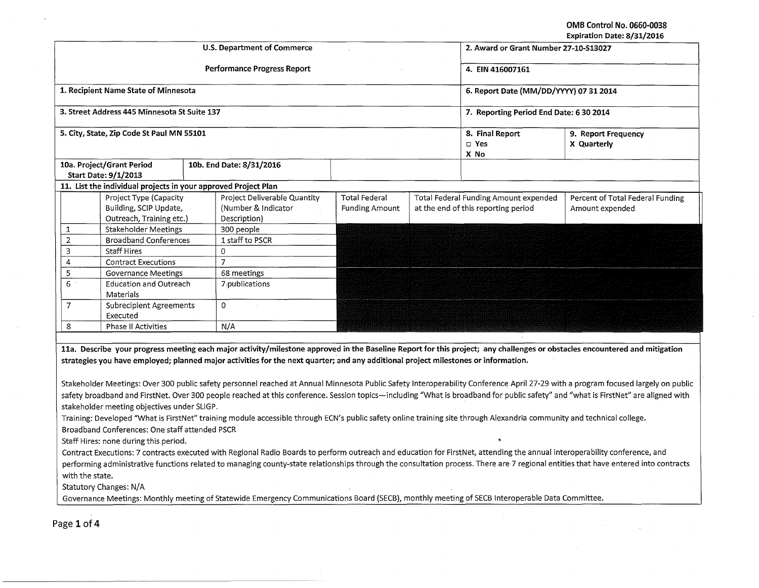OMB Control No. 0660-0038

|                                           |                                                                              |  |                                                                                                                                                                        |                                               |  |                                                                              | Expiration Date: 8/31/2016                                                                                                                                                                                                                                                                                                                                                                                                                                                                                                                           |  |
|-------------------------------------------|------------------------------------------------------------------------------|--|------------------------------------------------------------------------------------------------------------------------------------------------------------------------|-----------------------------------------------|--|------------------------------------------------------------------------------|------------------------------------------------------------------------------------------------------------------------------------------------------------------------------------------------------------------------------------------------------------------------------------------------------------------------------------------------------------------------------------------------------------------------------------------------------------------------------------------------------------------------------------------------------|--|
|                                           |                                                                              |  | <b>U.S. Department of Commerce</b>                                                                                                                                     |                                               |  | 2. Award or Grant Number 27-10-S13027                                        |                                                                                                                                                                                                                                                                                                                                                                                                                                                                                                                                                      |  |
|                                           |                                                                              |  | <b>Performance Progress Report</b>                                                                                                                                     |                                               |  | 4. EIN 416007161                                                             |                                                                                                                                                                                                                                                                                                                                                                                                                                                                                                                                                      |  |
|                                           | 1. Recipient Name State of Minnesota                                         |  |                                                                                                                                                                        |                                               |  | 6. Report Date (MM/DD/YYYY) 07 31 2014                                       |                                                                                                                                                                                                                                                                                                                                                                                                                                                                                                                                                      |  |
|                                           | 3. Street Address 445 Minnesota St Suite 137                                 |  |                                                                                                                                                                        |                                               |  | 7. Reporting Period End Date: 6 30 2014                                      |                                                                                                                                                                                                                                                                                                                                                                                                                                                                                                                                                      |  |
| 5. City, State, Zip Code St Paul MN 55101 |                                                                              |  |                                                                                                                                                                        |                                               |  | 8. Final Report<br>$\square$ Yes<br>X No                                     | 9. Report Frequency<br>X Quarterly                                                                                                                                                                                                                                                                                                                                                                                                                                                                                                                   |  |
|                                           | 10a. Project/Grant Period<br><b>Start Date: 9/1/2013</b>                     |  | 10b. End Date: 8/31/2016                                                                                                                                               |                                               |  |                                                                              |                                                                                                                                                                                                                                                                                                                                                                                                                                                                                                                                                      |  |
|                                           | 11. List the individual projects in your approved Project Plan               |  |                                                                                                                                                                        |                                               |  |                                                                              |                                                                                                                                                                                                                                                                                                                                                                                                                                                                                                                                                      |  |
|                                           | Project Type (Capacity<br>Building, SCIP Update,<br>Outreach, Training etc.) |  | Project Deliverable Quantity<br>(Number & Indicator<br>Description)                                                                                                    | <b>Total Federal</b><br><b>Funding Amount</b> |  | Total Federal Funding Amount expended<br>at the end of this reporting period | Percent of Total Federal Funding<br>Amount expended                                                                                                                                                                                                                                                                                                                                                                                                                                                                                                  |  |
| 1                                         | <b>Stakeholder Meetings</b>                                                  |  | 300 people                                                                                                                                                             |                                               |  |                                                                              |                                                                                                                                                                                                                                                                                                                                                                                                                                                                                                                                                      |  |
| $\overline{2}$                            | <b>Broadband Conferences</b>                                                 |  | 1 staff to PSCR                                                                                                                                                        |                                               |  |                                                                              |                                                                                                                                                                                                                                                                                                                                                                                                                                                                                                                                                      |  |
| 3                                         | <b>Staff Hires</b>                                                           |  | $\Omega$                                                                                                                                                               |                                               |  |                                                                              |                                                                                                                                                                                                                                                                                                                                                                                                                                                                                                                                                      |  |
| 4                                         | <b>Contract Executions</b>                                                   |  | $\overline{7}$                                                                                                                                                         |                                               |  |                                                                              |                                                                                                                                                                                                                                                                                                                                                                                                                                                                                                                                                      |  |
| 5                                         | <b>Governance Meetings</b>                                                   |  | 68 meetings                                                                                                                                                            |                                               |  |                                                                              |                                                                                                                                                                                                                                                                                                                                                                                                                                                                                                                                                      |  |
| 6                                         | <b>Education and Outreach</b><br>Materials                                   |  | 7 publications                                                                                                                                                         |                                               |  |                                                                              |                                                                                                                                                                                                                                                                                                                                                                                                                                                                                                                                                      |  |
| $\overline{7}$                            | <b>Subrecipient Agreements</b><br>Executed                                   |  | 0                                                                                                                                                                      |                                               |  |                                                                              |                                                                                                                                                                                                                                                                                                                                                                                                                                                                                                                                                      |  |
| 8                                         | <b>Phase II Activities</b>                                                   |  | N/A                                                                                                                                                                    |                                               |  |                                                                              |                                                                                                                                                                                                                                                                                                                                                                                                                                                                                                                                                      |  |
|                                           |                                                                              |  | strategies you have employed; planned major activities for the next quarter; and any additional project milestones or information.                                     |                                               |  |                                                                              | 11a. Describe your progress meeting each major activity/milestone approved in the Baseline Report for this project; any challenges or obstacles encountered and mitigation<br>Stakeholder Meetings: Over 300 public safety personnel reached at Annual Minnesota Public Safety Interoperability Conference April 27-29 with a program focused largely on public<br>safety broadband and FirstNet. Over 300 people reached at this conference. Session topics-including "What is broadband for public safety" and "what is FirstNet" are aligned with |  |
|                                           | stakeholder meeting objectives under SLIGP.                                  |  |                                                                                                                                                                        |                                               |  |                                                                              |                                                                                                                                                                                                                                                                                                                                                                                                                                                                                                                                                      |  |
|                                           |                                                                              |  | Training: Developed "What is FirstNet" training module accessible through ECN's public safety online training site through Alexandria community and technical college. |                                               |  |                                                                              |                                                                                                                                                                                                                                                                                                                                                                                                                                                                                                                                                      |  |
|                                           | Broadband Conferences: One staff attended PSCR                               |  |                                                                                                                                                                        |                                               |  |                                                                              |                                                                                                                                                                                                                                                                                                                                                                                                                                                                                                                                                      |  |
|                                           | Staff Hires: none during this period.                                        |  |                                                                                                                                                                        |                                               |  | $\bullet$                                                                    |                                                                                                                                                                                                                                                                                                                                                                                                                                                                                                                                                      |  |

Contract Executions: 7 contracts executed with Regional Radio Boards to perform outreach and education for FirstNet, attending the annual interoperability conference, and performing administrative functions related to managing county-state relationships through the consultation process. There are 7 regional entities that have entered into contracts with the state.

Statutory Changes: N/A

Governance Meetings: Monthly meeting of Statewide Emergency Communications Board (SECB), monthly meeting of SECB Interoperable Data Committee.

Page 1 of 4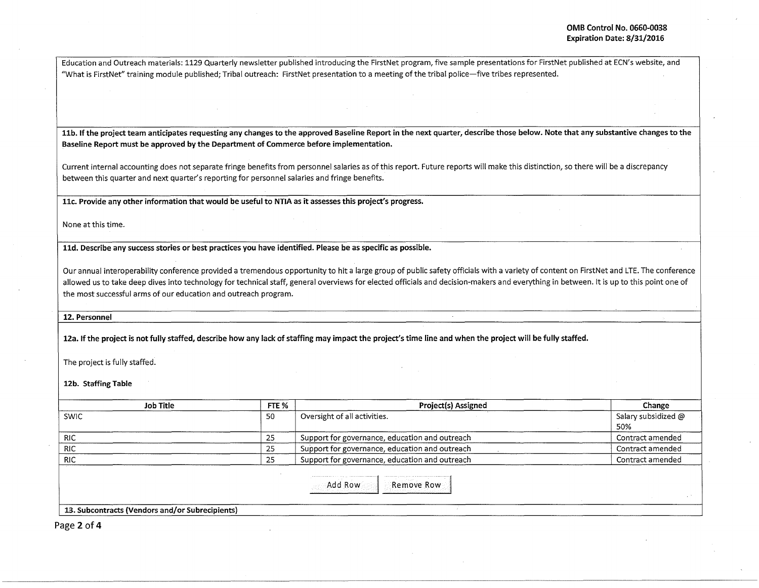Education and Outreach materials: 1129 Quarterly newsletter published introducing the FirstNet program, five sample presentations for FirstNet published at ECN's website, and "What is FirstNet" training module published; Tribal outreach: FirstNet presentation to a meeting of the tribal police-five tribes represented.

11b. If the project team anticipates requesting any changes to the approved Baseline Report in the next quarter, describe those below. Note that any substantive changes to the Baseline Report must be approved by the Department of Commerce before implementation.

Current internal accounting does not separate fringe benefits from personnel salaries as of this report. Future reports will make this distinction, so there will be a discrepancy between this quarter and next quarter's reporting for personnel salaries and fringe benefits.

llc. Provide any other information that would be useful to NTIA as it assesses this project's progress.

None at this time.

lld. Describe any success stories or best practices you have identified. Please be as specific as possible.

Our annual interoperability conference provided a tremendous opportunity to hit a large group of public safety officials with a variety of content on FirstNet and LTE. The conference allowed us to take deep dives into technology for technical staff, general overviews for elected officials and decision-makers and everything in between. It is up to this point one of the most successful arms of our education and outreach program.

12. Personnel

12a. If the project is not fully staffed, describe how any lack of staffing may impact the project's time line and when the project will be fully staffed.

The project is fully staffed.

12b. Staffing Table

| FTE % | Project(s) Assigned                            | Change                     |
|-------|------------------------------------------------|----------------------------|
| -50   | Oversight of all activities.                   | Salary subsidized @<br>50% |
| 25    | Support for governance, education and outreach | Contract amended           |
| 25    | Support for governance, education and outreach | Contract amended           |
| 25    | Support for governance, education and outreach | Contract amended           |
|       | Remove Row<br>Add Row                          |                            |
|       |                                                |                            |

Page 2 of 4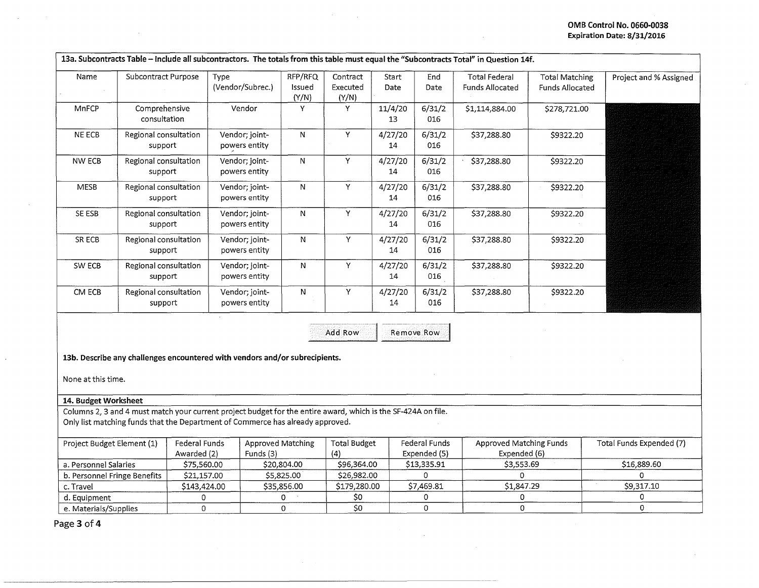## **OMB Control No. 0660-0038 Expiration Date: 8/31/2016**

| Name          | Subcontract Purpose              | Type<br>(Vendor/Subrec.)        | RFP/RFQ<br>Issued<br>(Y/N) | Contract<br>Executed<br>(Y/N) | Start<br>Date | End<br>Date   | <b>Total Federal</b><br><b>Funds Allocated</b> | <b>Total Matching</b><br>Funds Allocated | Project and % Assigned |
|---------------|----------------------------------|---------------------------------|----------------------------|-------------------------------|---------------|---------------|------------------------------------------------|------------------------------------------|------------------------|
| <b>MnFCP</b>  | Comprehensive<br>consultation    | Vendor                          | Y                          | Y                             | 11/4/20<br>13 | 6/31/2<br>016 | \$1,114,884.00                                 | \$278,721.00                             |                        |
| NE ECB        | Regional consultation<br>support | Vendor; joint-<br>powers entity | N                          | ٧                             | 4/27/20<br>14 | 6/31/2<br>016 | \$37,288.80                                    | \$9322.20                                |                        |
| <b>NW ECB</b> | Regional consultation<br>support | Vendor; joint-<br>powers entity | N                          | Υ                             | 4/27/20<br>14 | 6/31/2<br>016 | \$37,288.80                                    | \$9322.20                                |                        |
| <b>MESB</b>   | Regional consultation<br>support | Vendor; joint-<br>powers entity | N                          | Υ                             | 4/27/20<br>14 | 6/31/2<br>016 | \$37,288.80                                    | \$9322.20                                |                        |
| SE ESB        | Regional consultation<br>support | Vendor; joint-<br>powers entity | N                          | Y                             | 4/27/20<br>14 | 6/31/2<br>016 | \$37,288.80                                    | \$9322.20                                |                        |
| SR ECB        | Regional consultation<br>support | Vendor; joint-<br>powers entity | N                          | Y                             | 4/27/20<br>14 | 6/31/2<br>016 | \$37,288.80                                    | \$9322.20                                |                        |
| SW ECB        | Regional consultation<br>support | Vendor; joint-<br>powers entity | N                          | Y                             | 4/27/20<br>14 | 6/31/2<br>016 | \$37,288.80                                    | \$9322.20                                |                        |
| CM ECB        | Regional consultation<br>support | Vendor; joint-<br>powers entity | N                          | Y                             | 4/27/20<br>14 | 6/31/2<br>016 | \$37,288.80                                    | \$9322.20                                |                        |

Add Row Remove Row

**13b. Describe any challenges encountered with vendors and/or subrecipients.** 

None at this time.

## 14. Budget Worksheet

Columns 2, 3 and 4 must match your current project budget for the entire award, which is the SF-424A on file. Only list matching funds that the Department of Commerce has already approved.

| Project Budget Element (1)   | Federal Funds<br>Awarded (2) | Approved Matching<br>Funds $(3)$ | Total Budget | Federal Funds<br>Expended (5) | Approved Matching Funds<br>Expended (6) | Total Funds Expended (7) |
|------------------------------|------------------------------|----------------------------------|--------------|-------------------------------|-----------------------------------------|--------------------------|
| a. Personnel Salaries        | \$75,560.00                  | \$20,804.00                      | \$96,364.00  | \$13,335.91                   | \$3.553.69                              | \$16,889.60              |
| b. Personnel Fringe Benefits | \$21,157.00                  | \$5,825.00                       | \$26.982.00  |                               |                                         |                          |
| c. Travel                    | \$143,424.00                 | \$35,856.00                      | \$179.280.00 | \$7.469.81                    | \$1.847.29                              | \$9.317.10               |
| d. Equipment                 |                              |                                  |              |                               |                                         |                          |
| e. Materials/Supplies        |                              |                                  |              |                               |                                         |                          |

 $\mathbf{r}$ 

Page **3 of4**